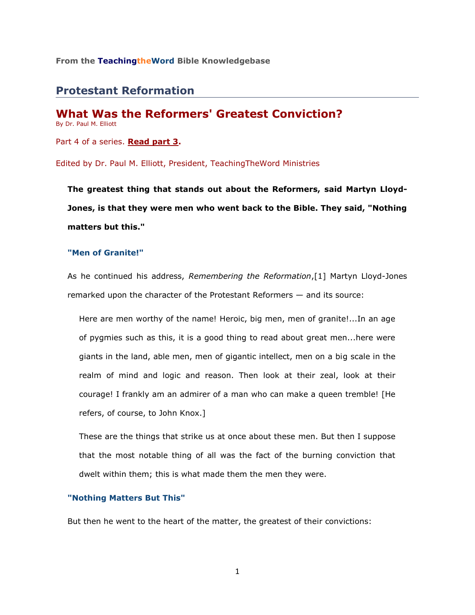## **From the TeachingtheWord Bible Knowledgebase**\_\_\_\_\_\_\_\_\_\_\_\_\_\_\_\_\_\_\_\_\_\_\_\_

# **Protestant Reformation**

**What Was the Reformers' Greatest Conviction?** By Dr. Paul M. Elliott

Part 4 of a series. **[Read part 3.](http://www.teachingtheword.org/apps/articles/web/articleid/59693/columnid/5787/default.asp)**

Edited by Dr. Paul M. Elliott, President, TeachingTheWord Ministries

**The greatest thing that stands out about the Reformers, said Martyn Lloyd-Jones, is that they were men who went back to the Bible. They said, "Nothing matters but this."**

## **"Men of Granite!"**

As he continued his address, *Remembering the Reformation*,[1] Martyn Lloyd-Jones remarked upon the character of the Protestant Reformers — and its source:

Here are men worthy of the name! Heroic, big men, men of granite!...In an age of pygmies such as this, it is a good thing to read about great men...here were giants in the land, able men, men of gigantic intellect, men on a big scale in the realm of mind and logic and reason. Then look at their zeal, look at their courage! I frankly am an admirer of a man who can make a queen tremble! [He refers, of course, to John Knox.]

These are the things that strike us at once about these men. But then I suppose that the most notable thing of all was the fact of the burning conviction that dwelt within them; this is what made them the men they were.

### **"Nothing Matters But This"**

But then he went to the heart of the matter, the greatest of their convictions:

1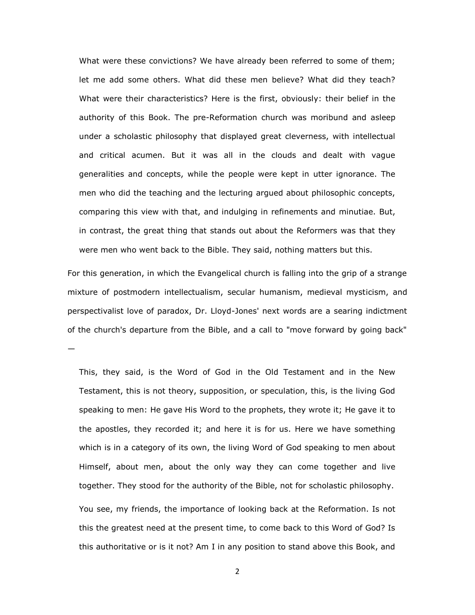What were these convictions? We have already been referred to some of them; let me add some others. What did these men believe? What did they teach? What were their characteristics? Here is the first, obviously: their belief in the authority of this Book. The pre-Reformation church was moribund and asleep under a scholastic philosophy that displayed great cleverness, with intellectual and critical acumen. But it was all in the clouds and dealt with vague generalities and concepts, while the people were kept in utter ignorance. The men who did the teaching and the lecturing argued about philosophic concepts, comparing this view with that, and indulging in refinements and minutiae. But, in contrast, the great thing that stands out about the Reformers was that they were men who went back to the Bible. They said, nothing matters but this.

For this generation, in which the Evangelical church is falling into the grip of a strange mixture of postmodern intellectualism, secular humanism, medieval mysticism, and perspectivalist love of paradox, Dr. Lloyd-Jones' next words are a searing indictment of the church's departure from the Bible, and a call to "move forward by going back" —

This, they said, is the Word of God in the Old Testament and in the New Testament, this is not theory, supposition, or speculation, this, is the living God speaking to men: He gave His Word to the prophets, they wrote it; He gave it to the apostles, they recorded it; and here it is for us. Here we have something which is in a category of its own, the living Word of God speaking to men about Himself, about men, about the only way they can come together and live together. They stood for the authority of the Bible, not for scholastic philosophy. You see, my friends, the importance of looking back at the Reformation. Is not

this the greatest need at the present time, to come back to this Word of God? Is this authoritative or is it not? Am I in any position to stand above this Book, and

2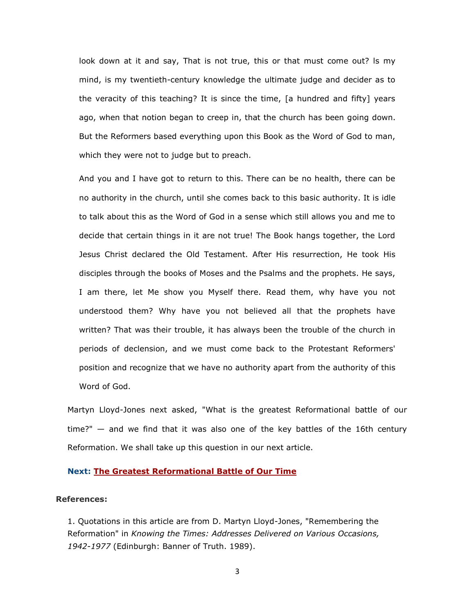look down at it and say, That is not true, this or that must come out? ls my mind, is my twentieth-century knowledge the ultimate judge and decider as to the veracity of this teaching? It is since the time, [a hundred and fifty] years ago, when that notion began to creep in, that the church has been going down. But the Reformers based everything upon this Book as the Word of God to man, which they were not to judge but to preach.

And you and I have got to return to this. There can be no health, there can be no authority in the church, until she comes back to this basic authority. It is idle to talk about this as the Word of God in a sense which still allows you and me to decide that certain things in it are not true! The Book hangs together, the Lord Jesus Christ declared the Old Testament. After His resurrection, He took His disciples through the books of Moses and the Psalms and the prophets. He says, I am there, let Me show you Myself there. Read them, why have you not understood them? Why have you not believed all that the prophets have written? That was their trouble, it has always been the trouble of the church in periods of declension, and we must come back to the Protestant Reformers' position and recognize that we have no authority apart from the authority of this Word of God.

Martyn Lloyd-Jones next asked, "What is the greatest Reformational battle of our time?" — and we find that it was also one of the key battles of the 16th century Reformation. We shall take up this question in our next article.

## **Next: [The Greatest Reformational Battle of Our Time](http://www.teachingtheword.org/apps/articles/web/articleid/59698/columnid/5787/default.asp)**

## **References:**

1. Quotations in this article are from D. Martyn Lloyd-Jones, "Remembering the Reformation" in *Knowing the Times: Addresses Delivered on Various Occasions, 1942-1977* (Edinburgh: Banner of Truth. 1989).

3